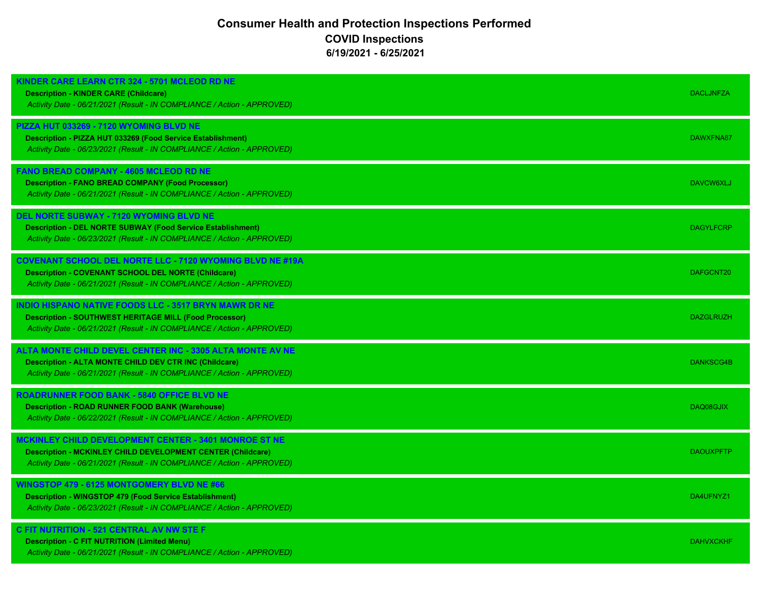## **Consumer Health and Protection Inspections Performed COVID Inspections 6/19/2021 - 6/25/2021**

| <b>(INDER CARE LEARN CTR 324 - 5701 MCLEOD RD NE</b><br><b>Description - KINDER CARE (Childcare)</b><br>Activity Date - 06/21/2021 (Result - IN COMPLIANCE / Action - APPROVED)                           | <b>DACLJNFZA</b> |
|-----------------------------------------------------------------------------------------------------------------------------------------------------------------------------------------------------------|------------------|
| PIZZA HUT 033269 - 7120 WYOMING BLVD NE<br>Description - PIZZA HUT 033269 (Food Service Establishment)<br>Activity Date - 06/23/2021 (Result - IN COMPLIANCE / Action - APPROVED)                         | DAWXFNA87        |
| <b>FANO BREAD COMPANY - 4605 MCLEOD RD NE</b><br><b>Description - FANO BREAD COMPANY (Food Processor)</b><br>Activity Date - 06/21/2021 (Result - IN COMPLIANCE / Action - APPROVED)                      | DAVCW6XLJ        |
| <b>DEL NORTE SUBWAY - 7120 WYOMING BLVD NE</b><br><b>Description - DEL NORTE SUBWAY (Food Service Establishment)</b><br>Activity Date - 06/23/2021 (Result - IN COMPLIANCE / Action - APPROVED)           | <b>DAGYLFCRP</b> |
| <b>COVENANT SCHOOL DEL NORTE LLC - 7120 WYOMING BLVD NE #19A</b><br><b>Description - COVENANT SCHOOL DEL NORTE (Childcare)</b><br>Activity Date - 06/21/2021 (Result - IN COMPLIANCE / Action - APPROVED) | DAFGCNT20        |
| INDIO HISPANO NATIVE FOODS LLC - 3517 BRYN MAWR DR NE<br><b>Description - SOUTHWEST HERITAGE MILL (Food Processor)</b><br>Activity Date - 06/21/2021 (Result - IN COMPLIANCE / Action - APPROVED)         | <b>DAZGLRUZH</b> |
| ALTA MONTE CHILD DEVEL CENTER INC - 3305 ALTA MONTE AV NE<br><b>Description - ALTA MONTE CHILD DEV CTR INC (Childcare)</b><br>Activity Date - 06/21/2021 (Result - IN COMPLIANCE / Action - APPROVED)     | DANKSCG4B        |
| <b>ROADRUNNER FOOD BANK - 5840 OFFICE BLVD NE</b><br><b>Description - ROAD RUNNER FOOD BANK (Warehouse)</b><br>Activity Date - 06/22/2021 (Result - IN COMPLIANCE / Action - APPROVED)                    | DAQ08GJIX        |
| MCKINLEY CHILD DEVELOPMENT CENTER - 3401 MONROE ST NE<br><b>Description - MCKINLEY CHILD DEVELOPMENT CENTER (Childcare)</b><br>Activity Date - 06/21/2021 (Result - IN COMPLIANCE / Action - APPROVED)    | <b>DAOUXPFTP</b> |
| WINGSTOP 479 - 6125 MONTGOMERY BLVD NE #66<br><b>Description - WINGSTOP 479 (Food Service Establishment)</b><br>Activity Date - 06/23/2021 (Result - IN COMPLIANCE / Action - APPROVED)                   | DA4UFNYZ1        |
| C FIT NUTRITION - 521 CENTRAL AV NW STE F<br><b>Description - C FIT NUTRITION (Limited Menu)</b><br>Activity Date - 06/21/2021 (Result - IN COMPLIANCE / Action - APPROVED)                               | <b>DAHVXCKHF</b> |